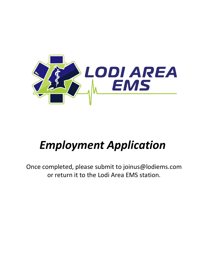

# *Employment Application*

Once completed, please submit to joinus@lodiems.com or return it to the Lodi Area EMS station.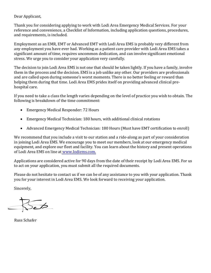# Dear Applicant,

Thank you for considering applying to work with Lodi Area Emergency Medical Services. For your reference and convenience, a Checklist of Information, including application questions, procedures, and requirements, is included.

Employment as an EMR, EMT or Advanced EMT with Lodi Area EMS is probably very different from any employment you have ever had. Working as a patient care provider with Lodi Area EMS takes a significant amount of time, requires uncommon dedication, and can involve significant emotional stress. We urge you to consider your application very carefully.

The decision to join Lodi Area EMS is not one that should be taken lightly. If you have a family, involve them in the process and the decision. EMS is a job unlike any other. Our providers are professionals and are called upon during someone's worst moments. There is no better feeling or reward than helping them during that time. Lodi Area EMS prides itself on providing advanced clinical prehospital care.

If you need to take a class the length varies depending on the level of practice you wish to obtain. The following is breakdown of the time commitment:

- Emergency Medical Responder: 72 Hours
- Emergency Medical Technician: 180 hours, with additional clinical rotations
- Advanced Emergency Medical Technician: 180 Hours (Must have EMT certification to enroll)

We recommend that you include a visit to our station and a ride-along as part of your consideration in joining Lodi Area EMS. We encourage you to meet our members, look at our emergency medical equipment, and explore our fleet and facility. You can learn about the history and present operations of Lodi Area EMS on line a[t www.lodiems.com.](http://www.lodiems.com/)

Applications are considered active for 90 days from the date of their receipt by Lodi Area EMS. For us to act on your application, you must submit all the required documents.

Please do not hesitate to contact us if we can be of any assistance to you with your application. Thank you for your interest in Lodi Area EMS. We look forward to receiving your application.

Sincerely,

 $\widetilde{\phantom{a}}$ 

Russ Schafer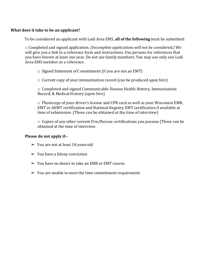## **What does it take to be an applicant?**

To be considered an applicant with Lodi Area EMS, **all of the following** must be submitted:

□ Completed and signed application. *(Incomplete applications will not be considered.)* We will give you a link to a reference form and instructions. Use persons for references that you have known at least one year. Do not use family members. You may use only one Lodi Area EMS member as a reference.

 $\Box$  Signed Statement of Commitment (if you are not an EMT)

 $\Box$  Current copy of your immunization record (can be produced upon hire)

 $\Box$  Completed and signed Communicable Disease Health History, Immunization Record, & Medical History (upon hire)

 $\Box$  Photocopy of your driver's license and CPR card as well as your Wisconsin EMR, EMT or AEMT certification and National Registry EMT certification if available at time of submission. (These can be obtained at the time of interview)

 $\Box$  Copies of any other current Fire/Rescue certifications you possess (These can be obtained at the time of interview.

# **Please do not apply if--**

- $\geq$  You are not at least 18 years old
- $\triangleright$  You have a felony conviction
- $\triangleright$  You have no desire to take an EMR or EMT course.
- $\geq$  You are unable to meet the time commitment requirement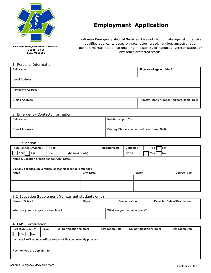

**Lodi Area Emergency Medical Services 715 N Main St Lodi, WI 53555**

#### 1. Personal Information

# **Employment Application**

Lodi Area Emergency Medical Services does not discriminate against otherwise qualified applicants based on race, color, creed, religion, ancestry, age, gender, marital status, national origin, disability or handicap, veteran status, or any other protected status.

| <b>Full Name</b>         | 18 years of age or older?                  |
|--------------------------|--------------------------------------------|
|                          |                                            |
| <b>Local Address</b>     |                                            |
|                          |                                            |
|                          |                                            |
| <b>Permanent Address</b> |                                            |
|                          |                                            |
| <b>E-mail Address</b>    | Primary Phone Number (Indicate Home, Cell) |
|                          |                                            |
|                          |                                            |

#### 2. Emergency Contact Information

| <b>Full Name</b>      | <b>Relationship to You</b>                        |
|-----------------------|---------------------------------------------------|
| <b>E-mail Address</b> | <b>Primary Phone Number (Indicate Home, Cell)</b> |

#### 3.1 Education

| <b>High School Graduate?</b>                 | If yes,                                                        | (month/year) | Diploma?<br>Yes<br>No |             |
|----------------------------------------------|----------------------------------------------------------------|--------------|-----------------------|-------------|
| No<br>Yes                                    | If no,<br>(highest grade)                                      |              | GED?<br>Yes<br>No.    |             |
| Name & Location of high school (City, State) |                                                                |              |                       |             |
|                                              |                                                                |              |                       |             |
|                                              | List any colleges, universities, or technical schools attended |              |                       |             |
| Name                                         | City, State                                                    |              | <b>Major</b>          | Degree Type |
|                                              |                                                                |              |                       |             |
|                                              |                                                                |              |                       |             |
|                                              |                                                                |              |                       |             |

#### 3.2 Education Supplement (for current students only)

| Name of School                       | Major | <b>Concentration</b>        | <b>Expected Date of Graduation</b> |
|--------------------------------------|-------|-----------------------------|------------------------------------|
| What are your post-graduation plans? |       | What are your summer plans? |                                    |

#### 4. EMS Certification

| <b>EMT Certification?</b>     | Level | <b>WI Certification Number</b>                                      | <b>Expiration Date</b> | <b>NR Certification Number</b> | <b>Expiration Date</b> |
|-------------------------------|-------|---------------------------------------------------------------------|------------------------|--------------------------------|------------------------|
| <b>No</b><br>Yes              |       |                                                                     |                        |                                |                        |
|                               |       | List any Fire/Rescue certifications or skills you currently possess |                        |                                |                        |
|                               |       |                                                                     |                        |                                |                        |
|                               |       |                                                                     |                        |                                |                        |
| Position you are applying for |       |                                                                     |                        |                                |                        |
|                               |       |                                                                     |                        |                                |                        |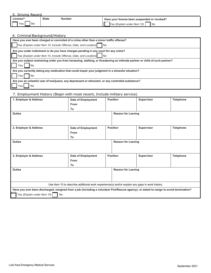| 5. Driving Record |
|-------------------|
|-------------------|

| ---------------- |              |        |                                              |  |  |
|------------------|--------------|--------|----------------------------------------------|--|--|
| License′         | <b>State</b> | Number | Have your license been suspended or revoked? |  |  |
| Yes.<br>No       |              |        | l No<br>(Explain under Item 10)<br>lYes.     |  |  |

### 6. Criminal Background/History

| Have you ever been charged or convicted of a crime other than a minor traffic offense?                                       |
|------------------------------------------------------------------------------------------------------------------------------|
| Iſ<br>Yes (Explain under Item 10, Include Offense, Date, and Location)<br>l No                                               |
| Are you under indictment or do you have charges pending in any court for any crime?                                          |
| Yes (Explain under Item 10, Include Offense, Date, and Location) No                                                          |
| Are you subject restraining order you from harassing, stalking, or threatening an intimate partner or child of such partner? |
| No<br>Yes                                                                                                                    |
| Are you currently taking any medication that could impair your judgment in a stressful situation?                            |
| No<br>Yes                                                                                                                    |
| Are you an unlawful user of marijuana, any depressant or stimulant, or any controlled substance?                             |
| No<br>Yes                                                                                                                    |

# 7. Employment History (Begin with most recent, Include military service)

| 1. Employer & Address                                                                                                                   | Date of Employment                                                                             | <b>Position</b> |                           | Supervisor | <b>Telephone</b> |
|-----------------------------------------------------------------------------------------------------------------------------------------|------------------------------------------------------------------------------------------------|-----------------|---------------------------|------------|------------------|
|                                                                                                                                         | <b>From</b>                                                                                    |                 |                           |            |                  |
|                                                                                                                                         | To                                                                                             |                 |                           |            |                  |
| <b>Duties</b>                                                                                                                           |                                                                                                |                 | <b>Reason for Leaving</b> |            |                  |
|                                                                                                                                         |                                                                                                |                 |                           |            |                  |
|                                                                                                                                         |                                                                                                |                 |                           |            |                  |
| 2. Employer & Address                                                                                                                   | Date of Employment                                                                             | <b>Position</b> |                           | Supervisor | <b>Telephone</b> |
|                                                                                                                                         | <b>From</b>                                                                                    |                 |                           |            |                  |
|                                                                                                                                         | To                                                                                             |                 |                           |            |                  |
| <b>Duties</b>                                                                                                                           |                                                                                                |                 | <b>Reason for Leaving</b> |            |                  |
|                                                                                                                                         |                                                                                                |                 |                           |            |                  |
|                                                                                                                                         |                                                                                                |                 |                           |            |                  |
| 3. Employer & Address                                                                                                                   | Date of Employment                                                                             | <b>Position</b> |                           | Supervisor | <b>Telephone</b> |
|                                                                                                                                         | From                                                                                           |                 |                           |            |                  |
|                                                                                                                                         | To                                                                                             |                 |                           |            |                  |
| <b>Duties</b>                                                                                                                           |                                                                                                |                 | <b>Reason for Leaving</b> |            |                  |
|                                                                                                                                         |                                                                                                |                 |                           |            |                  |
|                                                                                                                                         |                                                                                                |                 |                           |            |                  |
|                                                                                                                                         | Use Item 10 to describe additional work experience(s) and/or explain any gaps in work history. |                 |                           |            |                  |
| Have you ever been discharged, resigned from a job (including a volunteer Fire/Rescue agency), or asked to resign to avoid termination? |                                                                                                |                 |                           |            |                  |
| Yes (Explain under Item 10)<br>No                                                                                                       |                                                                                                |                 |                           |            |                  |
|                                                                                                                                         |                                                                                                |                 |                           |            |                  |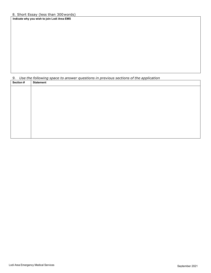#### 8. Short Essay (less than 300words)

**Indicate why you wish to join Lodi Area EMS**

| 9.        | Use the following space to answer questions in previous sections of the application |
|-----------|-------------------------------------------------------------------------------------|
| Section # | <b>Statement</b>                                                                    |
|           |                                                                                     |
|           |                                                                                     |
|           |                                                                                     |
|           |                                                                                     |
|           |                                                                                     |
|           |                                                                                     |
|           |                                                                                     |
|           |                                                                                     |
|           |                                                                                     |
|           |                                                                                     |
|           |                                                                                     |